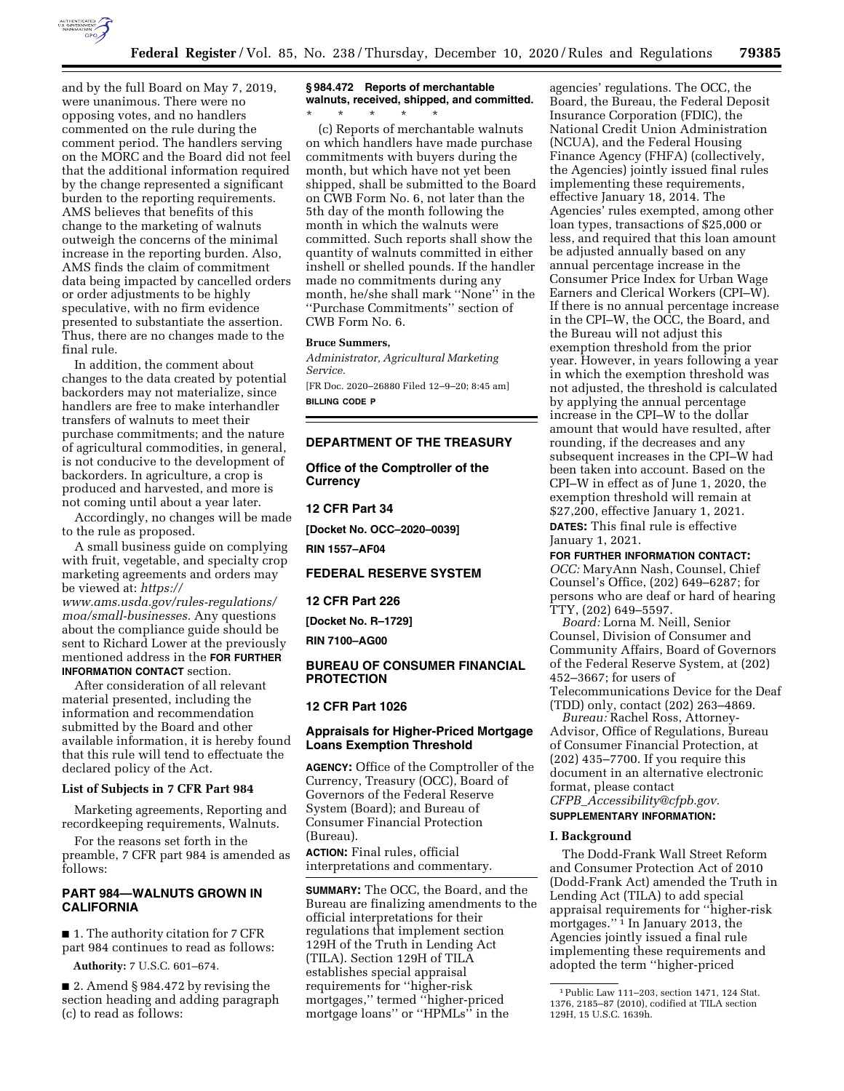

and by the full Board on May 7, 2019, were unanimous. There were no opposing votes, and no handlers commented on the rule during the comment period. The handlers serving on the MORC and the Board did not feel that the additional information required by the change represented a significant burden to the reporting requirements. AMS believes that benefits of this change to the marketing of walnuts outweigh the concerns of the minimal increase in the reporting burden. Also, AMS finds the claim of commitment data being impacted by cancelled orders or order adjustments to be highly speculative, with no firm evidence presented to substantiate the assertion. Thus, there are no changes made to the final rule.

In addition, the comment about changes to the data created by potential backorders may not materialize, since handlers are free to make interhandler transfers of walnuts to meet their purchase commitments; and the nature of agricultural commodities, in general, is not conducive to the development of backorders. In agriculture, a crop is produced and harvested, and more is not coming until about a year later.

Accordingly, no changes will be made to the rule as proposed.

A small business guide on complying with fruit, vegetable, and specialty crop marketing agreements and orders may be viewed at: *[https://](https://www.ams.usda.gov/rules-regulations/moa/small-businesses) [www.ams.usda.gov/rules-regulations/](https://www.ams.usda.gov/rules-regulations/moa/small-businesses)  [moa/small-businesses.](https://www.ams.usda.gov/rules-regulations/moa/small-businesses)* Any questions about the compliance guide should be sent to Richard Lower at the previously mentioned address in the **FOR FURTHER**

**INFORMATION CONTACT** section. After consideration of all relevant material presented, including the

information and recommendation submitted by the Board and other available information, it is hereby found that this rule will tend to effectuate the declared policy of the Act.

#### **List of Subjects in 7 CFR Part 984**

Marketing agreements, Reporting and recordkeeping requirements, Walnuts.

For the reasons set forth in the preamble, 7 CFR part 984 is amended as follows:

#### **PART 984—WALNUTS GROWN IN CALIFORNIA**

■ 1. The authority citation for 7 CFR part 984 continues to read as follows:

**Authority:** 7 U.S.C. 601–674.

■ 2. Amend § 984.472 by revising the section heading and adding paragraph (c) to read as follows:

# **§ 984.472 Reports of merchantable walnuts, received, shipped, and committed.**

\* \* \* \* \* (c) Reports of merchantable walnuts on which handlers have made purchase commitments with buyers during the month, but which have not yet been shipped, shall be submitted to the Board on CWB Form No. 6, not later than the 5th day of the month following the month in which the walnuts were committed. Such reports shall show the quantity of walnuts committed in either inshell or shelled pounds. If the handler made no commitments during any month, he/she shall mark ''None'' in the ''Purchase Commitments'' section of CWB Form No. 6.

#### **Bruce Summers,**

*Administrator, Agricultural Marketing Service.* 

[FR Doc. 2020–26880 Filed 12–9–20; 8:45 am] **BILLING CODE P** 

#### **DEPARTMENT OF THE TREASURY**

**Office of the Comptroller of the Currency** 

**12 CFR Part 34** 

**[Docket No. OCC–2020–0039]** 

**RIN 1557–AF04** 

# **FEDERAL RESERVE SYSTEM**

**12 CFR Part 226** 

**[Docket No. R–1729]** 

**RIN 7100–AG00** 

## **BUREAU OF CONSUMER FINANCIAL PROTECTION**

## **12 CFR Part 1026**

#### **Appraisals for Higher-Priced Mortgage Loans Exemption Threshold**

**AGENCY:** Office of the Comptroller of the Currency, Treasury (OCC), Board of Governors of the Federal Reserve System (Board); and Bureau of Consumer Financial Protection (Bureau).

**ACTION:** Final rules, official interpretations and commentary.

**SUMMARY:** The OCC, the Board, and the Bureau are finalizing amendments to the official interpretations for their regulations that implement section 129H of the Truth in Lending Act (TILA). Section 129H of TILA establishes special appraisal requirements for ''higher-risk mortgages,'' termed ''higher-priced mortgage loans" or "HPMLs" in the

agencies' regulations. The OCC, the Board, the Bureau, the Federal Deposit Insurance Corporation (FDIC), the National Credit Union Administration (NCUA), and the Federal Housing Finance Agency (FHFA) (collectively, the Agencies) jointly issued final rules implementing these requirements, effective January 18, 2014. The Agencies' rules exempted, among other loan types, transactions of \$25,000 or less, and required that this loan amount be adjusted annually based on any annual percentage increase in the Consumer Price Index for Urban Wage Earners and Clerical Workers (CPI–W). If there is no annual percentage increase in the CPI–W, the OCC, the Board, and the Bureau will not adjust this exemption threshold from the prior year. However, in years following a year in which the exemption threshold was not adjusted, the threshold is calculated by applying the annual percentage increase in the CPI–W to the dollar amount that would have resulted, after rounding, if the decreases and any subsequent increases in the CPI–W had been taken into account. Based on the CPI–W in effect as of June 1, 2020, the exemption threshold will remain at \$27,200, effective January 1, 2021. **DATES:** This final rule is effective January 1, 2021.

**FOR FURTHER INFORMATION CONTACT:**  *OCC:* MaryAnn Nash, Counsel, Chief Counsel's Office, (202) 649–6287; for persons who are deaf or hard of hearing TTY, (202) 649–5597.

*Board:* Lorna M. Neill, Senior Counsel, Division of Consumer and Community Affairs, Board of Governors of the Federal Reserve System, at (202) 452–3667; for users of Telecommunications Device for the Deaf (TDD) only, contact (202) 263–4869.

*Bureau:* Rachel Ross, Attorney-Advisor, Office of Regulations, Bureau of Consumer Financial Protection, at (202) 435–7700. If you require this document in an alternative electronic format, please contact *CFPB*\_*[Accessibility@cfpb.gov.](mailto:CFPB_Accessibility@cfpb.gov)* 

# **SUPPLEMENTARY INFORMATION:**

#### **I. Background**

The Dodd-Frank Wall Street Reform and Consumer Protection Act of 2010 (Dodd-Frank Act) amended the Truth in Lending Act (TILA) to add special appraisal requirements for ''higher-risk mortgages."<sup>1</sup> In January 2013, the Agencies jointly issued a final rule implementing these requirements and adopted the term ''higher-priced

<sup>1</sup>Public Law 111–203, section 1471, 124 Stat. 1376, 2185–87 (2010), codified at TILA section 129H, 15 U.S.C. 1639h.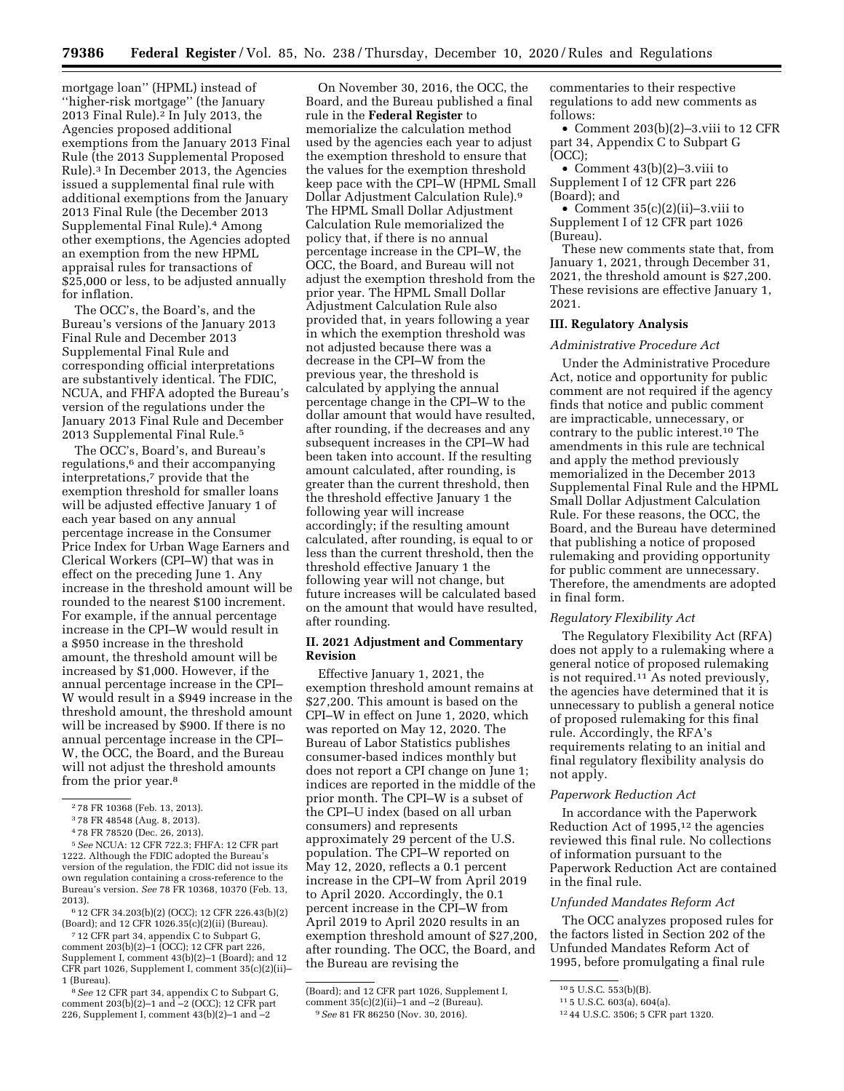mortgage loan'' (HPML) instead of ''higher-risk mortgage'' (the January 2013 Final Rule).2 In July 2013, the Agencies proposed additional exemptions from the January 2013 Final Rule (the 2013 Supplemental Proposed Rule).3 In December 2013, the Agencies issued a supplemental final rule with additional exemptions from the January 2013 Final Rule (the December 2013 Supplemental Final Rule).4 Among other exemptions, the Agencies adopted an exemption from the new HPML appraisal rules for transactions of \$25,000 or less, to be adjusted annually for inflation.

The OCC's, the Board's, and the Bureau's versions of the January 2013 Final Rule and December 2013 Supplemental Final Rule and corresponding official interpretations are substantively identical. The FDIC, NCUA, and FHFA adopted the Bureau's version of the regulations under the January 2013 Final Rule and December 2013 Supplemental Final Rule.5

The OCC's, Board's, and Bureau's regulations,6 and their accompanying interpretations,7 provide that the exemption threshold for smaller loans will be adjusted effective January 1 of each year based on any annual percentage increase in the Consumer Price Index for Urban Wage Earners and Clerical Workers (CPI–W) that was in effect on the preceding June 1. Any increase in the threshold amount will be rounded to the nearest \$100 increment. For example, if the annual percentage increase in the CPI–W would result in a \$950 increase in the threshold amount, the threshold amount will be increased by \$1,000. However, if the annual percentage increase in the CPI– W would result in a \$949 increase in the threshold amount, the threshold amount will be increased by \$900. If there is no annual percentage increase in the CPI– W, the OCC, the Board, and the Bureau will not adjust the threshold amounts from the prior year.8

5*See* NCUA: 12 CFR 722.3; FHFA: 12 CFR part 1222. Although the FDIC adopted the Bureau's version of the regulation, the FDIC did not issue its own regulation containing a cross-reference to the Bureau's version. *See* 78 FR 10368, 10370 (Feb. 13, 2013).

6 12 CFR 34.203(b)(2) (OCC); 12 CFR 226.43(b)(2) (Board); and 12 CFR 1026.35(c)(2)(ii) (Bureau).

7 12 CFR part 34, appendix C to Subpart G, comment 203(b)(2)–1 (OCC); 12 CFR part 226, Supplement I, comment 43(b)(2)–1 (Board); and 12 CFR part 1026, Supplement I, comment 35(c)(2)(ii)– 1 (Bureau).

8*See* 12 CFR part 34, appendix C to Subpart G, comment  $203(b)(2)-1$  and  $-2$  (OCC); 12 CFR part 226, Supplement I, comment  $43(b)(2)-1$  and  $-2$ 

On November 30, 2016, the OCC, the Board, and the Bureau published a final rule in the **Federal Register** to memorialize the calculation method used by the agencies each year to adjust the exemption threshold to ensure that the values for the exemption threshold keep pace with the CPI–W (HPML Small Dollar Adjustment Calculation Rule).9 The HPML Small Dollar Adjustment Calculation Rule memorialized the policy that, if there is no annual percentage increase in the CPI–W, the OCC, the Board, and Bureau will not adjust the exemption threshold from the prior year. The HPML Small Dollar Adjustment Calculation Rule also provided that, in years following a year in which the exemption threshold was not adjusted because there was a decrease in the CPI–W from the previous year, the threshold is calculated by applying the annual percentage change in the CPI–W to the dollar amount that would have resulted, after rounding, if the decreases and any subsequent increases in the CPI–W had been taken into account. If the resulting amount calculated, after rounding, is greater than the current threshold, then the threshold effective January 1 the following year will increase accordingly; if the resulting amount calculated, after rounding, is equal to or less than the current threshold, then the threshold effective January 1 the following year will not change, but future increases will be calculated based on the amount that would have resulted, after rounding.

### **II. 2021 Adjustment and Commentary Revision**

Effective January 1, 2021, the exemption threshold amount remains at \$27,200. This amount is based on the CPI–W in effect on June 1, 2020, which was reported on May 12, 2020. The Bureau of Labor Statistics publishes consumer-based indices monthly but does not report a CPI change on June 1; indices are reported in the middle of the prior month. The CPI–W is a subset of the CPI–U index (based on all urban consumers) and represents approximately 29 percent of the U.S. population. The CPI–W reported on May 12, 2020, reflects a 0.1 percent increase in the CPI–W from April 2019 to April 2020. Accordingly, the 0.1 percent increase in the CPI–W from April 2019 to April 2020 results in an exemption threshold amount of \$27,200, after rounding. The OCC, the Board, and the Bureau are revising the

commentaries to their respective regulations to add new comments as follows:

• Comment 203(b)(2)–3.viii to 12 CFR part 34, Appendix C to Subpart G (OCC);

• Comment  $43(b)(2)-3$ . viii to Supplement I of 12 CFR part 226 (Board); and

• Comment 35(c)(2)(ii)–3.viii to Supplement I of 12 CFR part 1026 (Bureau).

These new comments state that, from January 1, 2021, through December 31, 2021, the threshold amount is \$27,200. These revisions are effective January 1, 2021.

### **III. Regulatory Analysis**

#### *Administrative Procedure Act*

Under the Administrative Procedure Act, notice and opportunity for public comment are not required if the agency finds that notice and public comment are impracticable, unnecessary, or contrary to the public interest.10 The amendments in this rule are technical and apply the method previously memorialized in the December 2013 Supplemental Final Rule and the HPML Small Dollar Adjustment Calculation Rule. For these reasons, the OCC, the Board, and the Bureau have determined that publishing a notice of proposed rulemaking and providing opportunity for public comment are unnecessary. Therefore, the amendments are adopted in final form.

#### *Regulatory Flexibility Act*

The Regulatory Flexibility Act (RFA) does not apply to a rulemaking where a general notice of proposed rulemaking is not required.11 As noted previously, the agencies have determined that it is unnecessary to publish a general notice of proposed rulemaking for this final rule. Accordingly, the RFA's requirements relating to an initial and final regulatory flexibility analysis do not apply.

#### *Paperwork Reduction Act*

In accordance with the Paperwork Reduction Act of 1995,12 the agencies reviewed this final rule. No collections of information pursuant to the Paperwork Reduction Act are contained in the final rule.

#### *Unfunded Mandates Reform Act*

The OCC analyzes proposed rules for the factors listed in Section 202 of the Unfunded Mandates Reform Act of 1995, before promulgating a final rule

<sup>2</sup> 78 FR 10368 (Feb. 13, 2013).

<sup>3</sup> 78 FR 48548 (Aug. 8, 2013).

<sup>4</sup> 78 FR 78520 (Dec. 26, 2013).

<sup>(</sup>Board); and 12 CFR part 1026, Supplement I, comment  $35(c)(2)(ii)-1$  and  $-2$  (Bureau). 9*See* 81 FR 86250 (Nov. 30, 2016).

<sup>10</sup> 5 U.S.C. 553(b)(B).

<sup>11</sup> 5 U.S.C. 603(a), 604(a).

<sup>12</sup> 44 U.S.C. 3506; 5 CFR part 1320.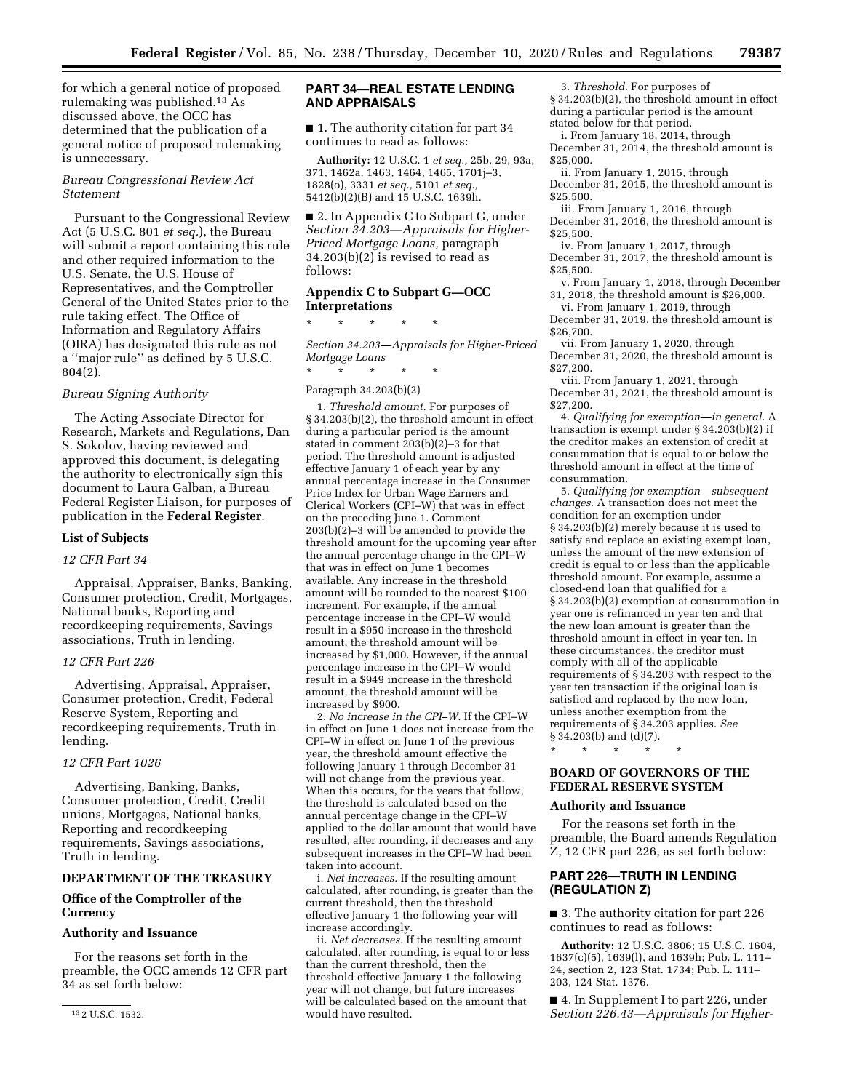for which a general notice of proposed rulemaking was published.13 As discussed above, the OCC has determined that the publication of a general notice of proposed rulemaking is unnecessary.

## *Bureau Congressional Review Act Statement*

Pursuant to the Congressional Review Act (5 U.S.C. 801 *et seq.*), the Bureau will submit a report containing this rule and other required information to the U.S. Senate, the U.S. House of Representatives, and the Comptroller General of the United States prior to the rule taking effect. The Office of Information and Regulatory Affairs (OIRA) has designated this rule as not a ''major rule'' as defined by 5 U.S.C. 804(2).

#### *Bureau Signing Authority*

The Acting Associate Director for Research, Markets and Regulations, Dan S. Sokolov, having reviewed and approved this document, is delegating the authority to electronically sign this document to Laura Galban, a Bureau Federal Register Liaison, for purposes of publication in the **Federal Register**.

#### **List of Subjects**

## *12 CFR Part 34*

Appraisal, Appraiser, Banks, Banking, Consumer protection, Credit, Mortgages, National banks, Reporting and recordkeeping requirements, Savings associations, Truth in lending.

#### *12 CFR Part 226*

Advertising, Appraisal, Appraiser, Consumer protection, Credit, Federal Reserve System, Reporting and recordkeeping requirements, Truth in lending.

## *12 CFR Part 1026*

Advertising, Banking, Banks, Consumer protection, Credit, Credit unions, Mortgages, National banks, Reporting and recordkeeping requirements, Savings associations, Truth in lending.

# **DEPARTMENT OF THE TREASURY**

## **Office of the Comptroller of the Currency**

#### **Authority and Issuance**

For the reasons set forth in the preamble, the OCC amends 12 CFR part 34 as set forth below:

## **PART 34—REAL ESTATE LENDING AND APPRAISALS**

■ 1. The authority citation for part 34 continues to read as follows:

**Authority:** 12 U.S.C. 1 *et seq.,* 25b, 29, 93a, 371, 1462a, 1463, 1464, 1465, 1701j–3, 1828(o), 3331 *et seq.,* 5101 *et seq.,*  5412(b)(2)(B) and 15 U.S.C. 1639h.

■ 2. In Appendix C to Subpart G, under *Section 34.203—Appraisals for Higher-Priced Mortgage Loans,* paragraph 34.203(b)(2) is revised to read as follows:

### **Appendix C to Subpart G—OCC Interpretations**

\* \* \* \* \*

*Section 34.203—Appraisals for Higher-Priced Mortgage Loans* 

\* \* \* \* \*

## Paragraph 34.203(b)(2)

1. *Threshold amount.* For purposes of § 34.203(b)(2), the threshold amount in effect during a particular period is the amount stated in comment 203(b)(2)–3 for that period. The threshold amount is adjusted effective January 1 of each year by any annual percentage increase in the Consumer Price Index for Urban Wage Earners and Clerical Workers (CPI–W) that was in effect on the preceding June 1. Comment  $203(b)(2)-3$  will be amended to provide the threshold amount for the upcoming year after the annual percentage change in the CPI–W that was in effect on June 1 becomes available. Any increase in the threshold amount will be rounded to the nearest \$100 increment. For example, if the annual percentage increase in the CPI–W would result in a \$950 increase in the threshold amount, the threshold amount will be increased by \$1,000. However, if the annual percentage increase in the CPI–W would result in a \$949 increase in the threshold amount, the threshold amount will be increased by \$900.

2. *No increase in the CPI–W.* If the CPI–W in effect on June 1 does not increase from the CPI–W in effect on June 1 of the previous year, the threshold amount effective the following January 1 through December 31 will not change from the previous year. When this occurs, for the years that follow, the threshold is calculated based on the annual percentage change in the CPI–W applied to the dollar amount that would have resulted, after rounding, if decreases and any subsequent increases in the CPI–W had been taken into account.

i. *Net increases.* If the resulting amount calculated, after rounding, is greater than the current threshold, then the threshold effective January 1 the following year will increase accordingly.

ii. *Net decreases.* If the resulting amount calculated, after rounding, is equal to or less than the current threshold, then the threshold effective January 1 the following year will not change, but future increases will be calculated based on the amount that would have resulted.

3. *Threshold.* For purposes of

§ 34.203(b)(2), the threshold amount in effect during a particular period is the amount stated below for that period.

i. From January 18, 2014, through December 31, 2014, the threshold amount is \$25,000.

ii. From January 1, 2015, through December 31, 2015, the threshold amount is \$25,500.

iii. From January 1, 2016, through December 31, 2016, the threshold amount is \$25,500.

iv. From January 1, 2017, through December 31, 2017, the threshold amount is \$25,500

v. From January 1, 2018, through December 31, 2018, the threshold amount is \$26,000.

vi. From January 1, 2019, through

December 31, 2019, the threshold amount is \$26,700.

vii. From January 1, 2020, through December 31, 2020, the threshold amount is \$27,200.

viii. From January 1, 2021, through December 31, 2021, the threshold amount is \$27,200.

4. *Qualifying for exemption—in general.* A transaction is exempt under § 34.203(b)(2) if the creditor makes an extension of credit at consummation that is equal to or below the threshold amount in effect at the time of consummation.

5. *Qualifying for exemption—subsequent changes.* A transaction does not meet the condition for an exemption under § 34.203(b)(2) merely because it is used to satisfy and replace an existing exempt loan, unless the amount of the new extension of credit is equal to or less than the applicable threshold amount. For example, assume a closed-end loan that qualified for a § 34.203(b)(2) exemption at consummation in year one is refinanced in year ten and that the new loan amount is greater than the threshold amount in effect in year ten. In these circumstances, the creditor must comply with all of the applicable requirements of § 34.203 with respect to the year ten transaction if the original loan is satisfied and replaced by the new loan, unless another exemption from the requirements of § 34.203 applies. *See*  § 34.203(b) and (d)(7).

\* \* \* \* \*

## **BOARD OF GOVERNORS OF THE FEDERAL RESERVE SYSTEM**

#### **Authority and Issuance**

For the reasons set forth in the preamble, the Board amends Regulation Z, 12 CFR part 226, as set forth below:

## **PART 226—TRUTH IN LENDING (REGULATION Z)**

■ 3. The authority citation for part 226 continues to read as follows:

**Authority:** 12 U.S.C. 3806; 15 U.S.C. 1604, 1637(c)(5), 1639(l), and 1639h; Pub. L. 111– 24, section 2, 123 Stat. 1734; Pub. L. 111– 203, 124 Stat. 1376.

■ 4. In Supplement I to part 226, under *Section 226.43—Appraisals for Higher-*

<sup>13</sup> 2 U.S.C. 1532.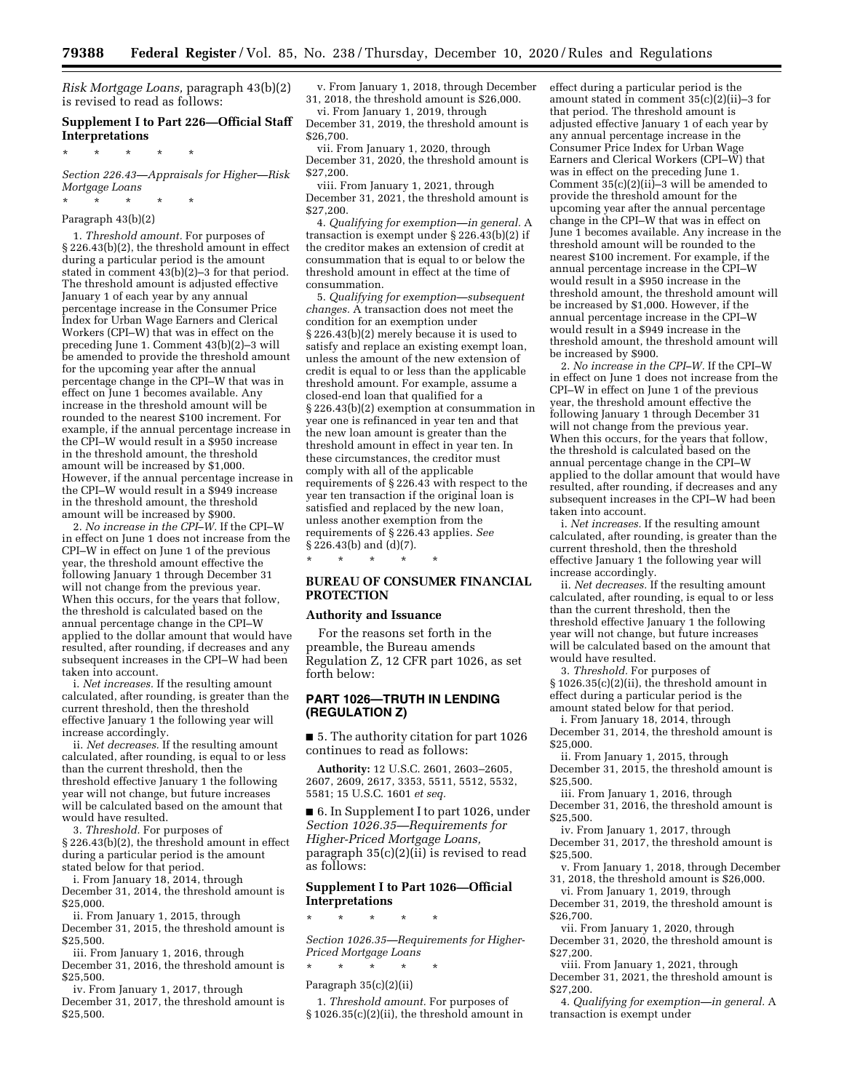*Risk Mortgage Loans,* paragraph 43(b)(2) is revised to read as follows:

## **Supplement I to Part 226—Official Staff Interpretations**

\* \* \* \* \*

*Section 226.43—Appraisals for Higher—Risk Mortgage Loans* 

\* \* \* \* \*

# Paragraph 43(b)(2)

1. *Threshold amount.* For purposes of § 226.43(b)(2), the threshold amount in effect during a particular period is the amount stated in comment 43(b)(2)–3 for that period. The threshold amount is adjusted effective January 1 of each year by any annual percentage increase in the Consumer Price Index for Urban Wage Earners and Clerical Workers (CPI–W) that was in effect on the preceding June 1. Comment 43(b)(2)–3 will be amended to provide the threshold amount for the upcoming year after the annual percentage change in the CPI–W that was in effect on June 1 becomes available. Any increase in the threshold amount will be rounded to the nearest \$100 increment. For example, if the annual percentage increase in the CPI–W would result in a \$950 increase in the threshold amount, the threshold amount will be increased by \$1,000. However, if the annual percentage increase in the CPI–W would result in a \$949 increase in the threshold amount, the threshold amount will be increased by \$900.

2. *No increase in the CPI–W.* If the CPI–W in effect on June 1 does not increase from the CPI–W in effect on June 1 of the previous year, the threshold amount effective the following January 1 through December 31 will not change from the previous year. When this occurs, for the years that follow, the threshold is calculated based on the annual percentage change in the CPI–W applied to the dollar amount that would have resulted, after rounding, if decreases and any subsequent increases in the CPI–W had been taken into account.

i. *Net increases.* If the resulting amount calculated, after rounding, is greater than the current threshold, then the threshold effective January 1 the following year will increase accordingly.

ii. *Net decreases.* If the resulting amount calculated, after rounding, is equal to or less than the current threshold, then the threshold effective January 1 the following year will not change, but future increases will be calculated based on the amount that would have resulted.

3. *Threshold.* For purposes of § 226.43(b)(2), the threshold amount in effect during a particular period is the amount stated below for that period.

i. From January 18, 2014, through December 31, 2014, the threshold amount is \$25,000.

ii. From January 1, 2015, through December 31, 2015, the threshold amount is \$25,500.

iii. From January 1, 2016, through December 31, 2016, the threshold amount is \$25,500.

iv. From January 1, 2017, through December 31, 2017, the threshold amount is \$25,500.

v. From January 1, 2018, through December 31, 2018, the threshold amount is \$26,000.

vi. From January 1, 2019, through December 31, 2019, the threshold amount is \$26,700.

vii. From January 1, 2020, through December 31, 2020, the threshold amount is \$27,200.

viii. From January 1, 2021, through December 31, 2021, the threshold amount is \$27,200.

4. *Qualifying for exemption—in general.* A transaction is exempt under § 226.43(b)(2) if the creditor makes an extension of credit at consummation that is equal to or below the threshold amount in effect at the time of consummation.

5. *Qualifying for exemption—subsequent changes.* A transaction does not meet the condition for an exemption under § 226.43(b)(2) merely because it is used to satisfy and replace an existing exempt loan, unless the amount of the new extension of credit is equal to or less than the applicable threshold amount. For example, assume a closed-end loan that qualified for a § 226.43(b)(2) exemption at consummation in year one is refinanced in year ten and that the new loan amount is greater than the threshold amount in effect in year ten. In these circumstances, the creditor must comply with all of the applicable requirements of § 226.43 with respect to the year ten transaction if the original loan is satisfied and replaced by the new loan, unless another exemption from the requirements of § 226.43 applies. *See*  § 226.43(b) and (d)(7).

# **BUREAU OF CONSUMER FINANCIAL PROTECTION**

#### **Authority and Issuance**

\* \* \* \* \*

For the reasons set forth in the preamble, the Bureau amends Regulation Z, 12 CFR part 1026, as set forth below:

## **PART 1026—TRUTH IN LENDING (REGULATION Z)**

■ 5. The authority citation for part 1026 continues to read as follows:

**Authority:** 12 U.S.C. 2601, 2603–2605, 2607, 2609, 2617, 3353, 5511, 5512, 5532, 5581; 15 U.S.C. 1601 *et seq.* 

■ 6. In Supplement I to part 1026, under *Section 1026.35—Requirements for Higher-Priced Mortgage Loans,*  paragraph 35(c)(2)(ii) is revised to read as follows:

## **Supplement I to Part 1026—Official Interpretations**

\* \* \* \* \*

*Section 1026.35—Requirements for Higher-Priced Mortgage Loans* 

\* \* \* \* \*

## Paragraph 35(c)(2)(ii)

1. *Threshold amount.* For purposes of § 1026.35(c)(2)(ii), the threshold amount in effect during a particular period is the amount stated in comment 35(c)(2)(ii)–3 for that period. The threshold amount is adjusted effective January 1 of each year by any annual percentage increase in the Consumer Price Index for Urban Wage Earners and Clerical Workers (CPI–W) that was in effect on the preceding June 1. Comment 35(c)(2)(ii)–3 will be amended to provide the threshold amount for the upcoming year after the annual percentage change in the CPI–W that was in effect on June 1 becomes available. Any increase in the threshold amount will be rounded to the nearest \$100 increment. For example, if the annual percentage increase in the CPI–W would result in a \$950 increase in the threshold amount, the threshold amount will be increased by \$1,000. However, if the annual percentage increase in the CPI–W would result in a \$949 increase in the threshold amount, the threshold amount will be increased by \$900.

2. *No increase in the CPI–W.* If the CPI–W in effect on June 1 does not increase from the CPI–W in effect on June 1 of the previous year, the threshold amount effective the following January 1 through December 31 will not change from the previous year. When this occurs, for the years that follow, the threshold is calculated based on the annual percentage change in the CPI–W applied to the dollar amount that would have resulted, after rounding, if decreases and any subsequent increases in the CPI–W had been taken into account.

i. *Net increases.* If the resulting amount calculated, after rounding, is greater than the current threshold, then the threshold effective January 1 the following year will increase accordingly.

ii. *Net decreases.* If the resulting amount calculated, after rounding, is equal to or less than the current threshold, then the threshold effective January 1 the following year will not change, but future increases will be calculated based on the amount that would have resulted.

3. *Threshold.* For purposes of § 1026.35(c)(2)(ii), the threshold amount in effect during a particular period is the amount stated below for that period.

i. From January 18, 2014, through December 31, 2014, the threshold amount is \$25,000.

ii. From January 1, 2015, through December 31, 2015, the threshold amount is \$25,500.

iii. From January 1, 2016, through December 31, 2016, the threshold amount is \$25,500.

iv. From January 1, 2017, through December 31, 2017, the threshold amount is \$25,500.

v. From January 1, 2018, through December 31, 2018, the threshold amount is \$26,000.

vi. From January 1, 2019, through December 31, 2019, the threshold amount is \$26,700.

vii. From January 1, 2020, through December 31, 2020, the threshold amount is \$27,200.

viii. From January 1, 2021, through December 31, 2021, the threshold amount is \$27,200.

4. *Qualifying for exemption—in general.* A transaction is exempt under